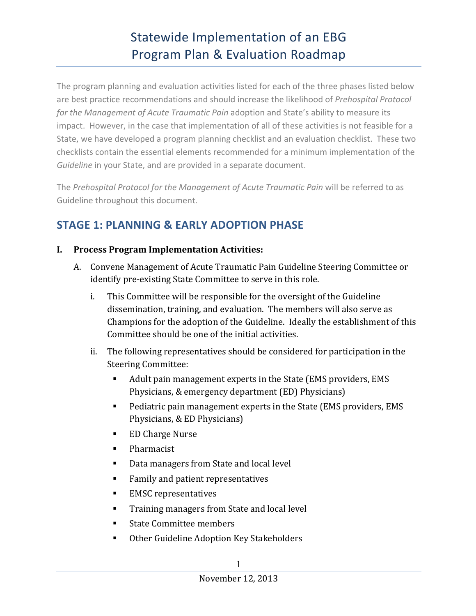## Statewide Implementation of an EBG Program Plan & Evaluation Roadmap

The program planning and evaluation activities listed for each of the three phases listed below are best practice recommendations and should increase the likelihood of *Prehospital Protocol for the Management of Acute Traumatic Pain* adoption and State's ability to measure its impact. However, in the case that implementation of all of these activities is not feasible for a State, we have developed a program planning checklist and an evaluation checklist. These two checklists contain the essential elements recommended for a minimum implementation of the Guideline in your State, and are provided in a separate document.

The Prehospital Protocol for the Management of Acute Traumatic Pain will be referred to as Guideline throughout this document.

## **STAGE 1: PLANNING & EARLY ADOPTION PHASE**

### **I. Process Program Implementation Activities:**

- A. Convene Management of Acute Traumatic Pain Guideline Steering Committee or identify pre-existing State Committee to serve in this role.
	- i. This Committee will be responsible for the oversight of the Guideline dissemination, training, and evaluation. The members will also serve as Champions for the adoption of the Guideline. Ideally the establishment of this Committee should be one of the initial activities.
	- ii. The following representatives should be considered for participation in the Steering Committee:
		- Adult pain management experts in the State (EMS providers, EMS Physicians, & emergency department (ED) Physicians)
		- Pediatric pain management experts in the State (EMS providers, EMS Physicians, & ED Physicians)
		- ED Charge Nurse
		- Pharmacist
		- Data managers from State and local level
		- Family and patient representatives
		- EMSC representatives
		- Training managers from State and local level
		- State Committee members
		- Other Guideline Adoption Key Stakeholders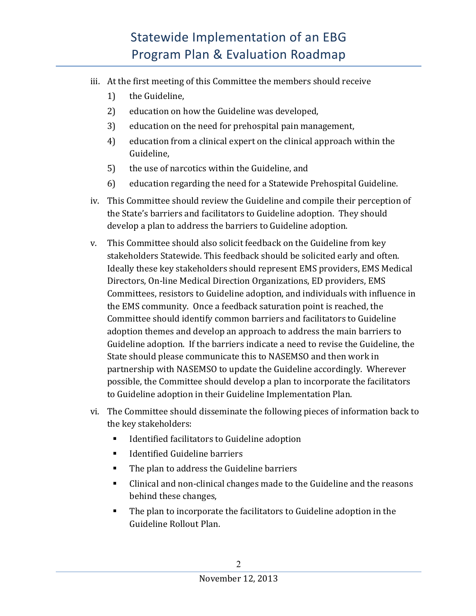# Statewide Implementation of an EBG Program Plan & Evaluation Roadmap

- iii. At the first meeting of this Committee the members should receive
	- 1) the Guideline,
	- 2) education on how the Guideline was developed,
	- 3) education on the need for prehospital pain management,
	- 4) education from a clinical expert on the clinical approach within the Guideline,
	- 5) the use of narcotics within the Guideline, and
	- 6) education regarding the need for a Statewide Prehospital Guideline.
- iv. This Committee should review the Guideline and compile their perception of the State's barriers and facilitators to Guideline adoption. They should develop a plan to address the barriers to Guideline adoption.
- v. This Committee should also solicit feedback on the Guideline from key stakeholders Statewide. This feedback should be solicited early and often. Ideally these key stakeholders should represent EMS providers, EMS Medical Directors, On-line Medical Direction Organizations, ED providers, EMS Committees, resistors to Guideline adoption, and individuals with influence in the EMS community. Once a feedback saturation point is reached, the Committee should identify common barriers and facilitators to Guideline adoption themes and develop an approach to address the main barriers to Guideline adoption. If the barriers indicate a need to revise the Guideline, the State should please communicate this to NASEMSO and then work in partnership with NASEMSO to update the Guideline accordingly. Wherever possible, the Committee should develop a plan to incorporate the facilitators to Guideline adoption in their Guideline Implementation Plan.
- vi. The Committee should disseminate the following pieces of information back to the key stakeholders:
	- Identified facilitators to Guideline adoption
	- Identified Guideline barriers
	- The plan to address the Guideline barriers
	- Clinical and non-clinical changes made to the Guideline and the reasons behind these changes,
	- The plan to incorporate the facilitators to Guideline adoption in the Guideline Rollout Plan.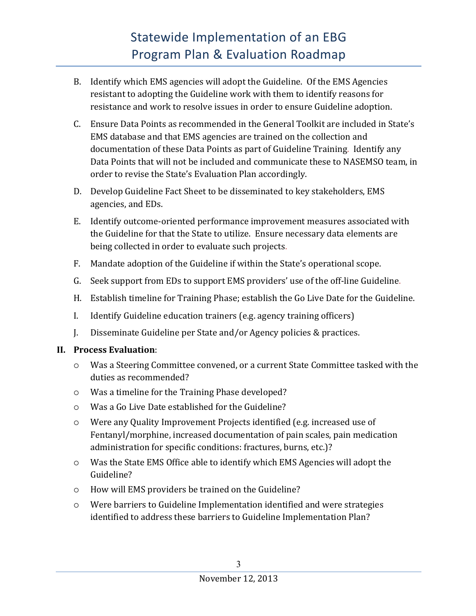- B. Identify which EMS agencies will adopt the Guideline. Of the EMS Agencies resistant to adopting the Guideline work with them to identify reasons for resistance and work to resolve issues in order to ensure Guideline adoption.
- C. Ensure Data Points as recommended in the General Toolkit are included in State's EMS database and that EMS agencies are trained on the collection and documentation of these Data Points as part of Guideline Training. Identify any Data Points that will not be included and communicate these to NASEMSO team, in order to revise the State's Evaluation Plan accordingly.
- D. Develop Guideline Fact Sheet to be disseminated to key stakeholders, EMS agencies, and EDs.
- E. Identify outcome-oriented performance improvement measures associated with the Guideline for that the State to utilize. Ensure necessary data elements are being collected in order to evaluate such projects.
- F. Mandate adoption of the Guideline if within the State's operational scope.
- G. Seek support from EDs to support EMS providers' use of the off-line Guideline.
- H. Establish timeline for Training Phase; establish the Go Live Date for the Guideline.
- I. Identify Guideline education trainers (e.g. agency training officers)
- J. Disseminate Guideline per State and/or Agency policies & practices.

### **II. Process Evaluation**:

- $\circ$  Was a Steering Committee convened, or a current State Committee tasked with the duties as recommended?
- $\circ$  Was a timeline for the Training Phase developed?
- $\circ$  Was a Go Live Date established for the Guideline?
- $\circ$  Were any Quality Improvement Projects identified (e.g. increased use of Fentanyl/morphine, increased documentation of pain scales, pain medication administration for specific conditions: fractures, burns, etc.)?
- $\circ$  Was the State EMS Office able to identify which EMS Agencies will adopt the Guideline?
- $\circ$  How will EMS providers be trained on the Guideline?
- $\circ$  Were barriers to Guideline Implementation identified and were strategies identified to address these barriers to Guideline Implementation Plan?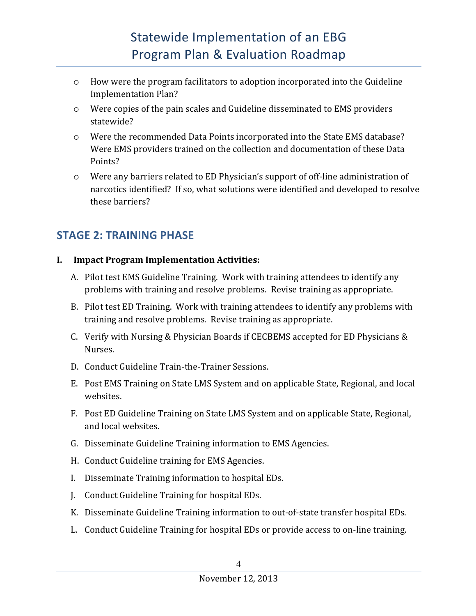- $\circ$  How were the program facilitators to adoption incorporated into the Guideline Implementation Plan?
- $\circ$  Were copies of the pain scales and Guideline disseminated to EMS providers statewide?
- $\circ$  Were the recommended Data Points incorporated into the State EMS database? Were EMS providers trained on the collection and documentation of these Data Points?
- $\circ$  Were any barriers related to ED Physician's support of off-line administration of narcotics identified? If so, what solutions were identified and developed to resolve these barriers?

### **STAGE 2: TRAINING PHASE**

### **I. Impact Program Implementation Activities:**

- A. Pilot test EMS Guideline Training. Work with training attendees to identify any problems with training and resolve problems. Revise training as appropriate.
- B. Pilot test ED Training. Work with training attendees to identify any problems with training and resolve problems. Revise training as appropriate.
- C. Verify with Nursing & Physician Boards if CECBEMS accepted for ED Physicians & Nurses.
- D. Conduct Guideline Train-the-Trainer Sessions.
- E. Post EMS Training on State LMS System and on applicable State, Regional, and local websites.
- F. Post ED Guideline Training on State LMS System and on applicable State, Regional, and local websites.
- G. Disseminate Guideline Training information to EMS Agencies.
- H. Conduct Guideline training for EMS Agencies.
- I. Disseminate Training information to hospital EDs.
- J. Conduct Guideline Training for hospital EDs.
- K. Disseminate Guideline Training information to out-of-state transfer hospital EDs.
- L. Conduct Guideline Training for hospital EDs or provide access to on-line training.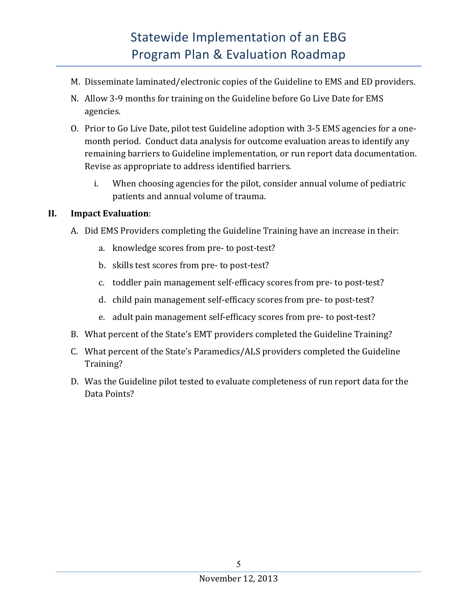- M. Disseminate laminated/electronic copies of the Guideline to EMS and ED providers.
- N. Allow 3-9 months for training on the Guideline before Go Live Date for EMS agencies.
- O. Prior to Go Live Date, pilot test Guideline adoption with 3-5 EMS agencies for a onemonth period. Conduct data analysis for outcome evaluation areas to identify any remaining barriers to Guideline implementation, or run report data documentation. Revise as appropriate to address identified barriers.
	- i. When choosing agencies for the pilot, consider annual volume of pediatric patients and annual volume of trauma.

### **II.** Impact Evaluation:

- A. Did EMS Providers completing the Guideline Training have an increase in their:
	- a. knowledge scores from pre- to post-test?
	- b. skills test scores from pre- to post-test?
	- c. toddler pain management self-efficacy scores from pre- to post-test?
	- d. child pain management self-efficacy scores from pre- to post-test?
	- e. adult pain management self-efficacy scores from pre- to post-test?
- B. What percent of the State's EMT providers completed the Guideline Training?
- C. What percent of the State's Paramedics/ALS providers completed the Guideline Training?
- D. Was the Guideline pilot tested to evaluate completeness of run report data for the Data Points?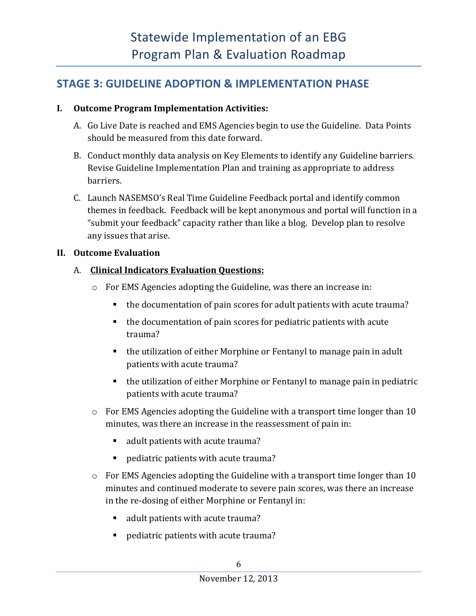### **STAGE 3: GUIDELINE ADOPTION & IMPLEMENTATION PHASE**

### **I.** Outcome Program Implementation Activities:

- A. Go Live Date is reached and EMS Agencies begin to use the Guideline. Data Points should be measured from this date forward.
- B. Conduct monthly data analysis on Key Elements to identify any Guideline barriers. Revise Guideline Implementation Plan and training as appropriate to address barriers.
- C. Launch NASEMSO's Real Time Guideline Feedback portal and identify common themes in feedback. Feedback will be kept anonymous and portal will function in a "submit your feedback" capacity rather than like a blog. Develop plan to resolve any issues that arise.

### **II.** Outcome Evaluation

### A. **Clinical Indicators Evaluation Questions:**

- $\circ$  For EMS Agencies adopting the Guideline, was there an increase in:
	- $\blacksquare$  the documentation of pain scores for adult patients with acute trauma?
	- $\blacksquare$  the documentation of pain scores for pediatric patients with acute trauma?
	- the utilization of either Morphine or Fentanyl to manage pain in adult patients with acute trauma?
	- $\blacksquare$  the utilization of either Morphine or Fentanyl to manage pain in pediatric patients with acute trauma?
- $\circ$  For EMS Agencies adopting the Guideline with a transport time longer than 10 minutes, was there an increase in the reassessment of pain in:
	- adult patients with acute trauma?
	- pediatric patients with acute trauma?
- $\circ$  For EMS Agencies adopting the Guideline with a transport time longer than 10 minutes and continued moderate to severe pain scores, was there an increase in the re-dosing of either Morphine or Fentanyl in:
	- adult patients with acute trauma?
	- pediatric patients with acute trauma?